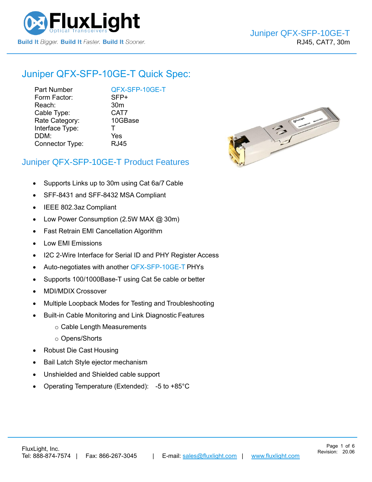

# Juniper [QFX-SFP-10GE-T](https://www.fluxlight.com/QFX-SFP-10ge-t/) Quick Spec:

Part Number [QFX-SFP-10GE-T](https://www.fluxlight.com/QFX-SFP-10ge-t/) Form Factor: SFP+ Reach: 30m Cable Type: CAT7 Rate Category: 10GBase Interface Type: T DDM: Yes Connector Type: RJ45



Page 1 of 6

### Juniper [QFX-SFP-10GE-T](https://www.fluxlight.com/QFX-SFP-10ge-t/) Product Features

- Supports Links up to 30m using Cat 6a/7 Cable
- SFF-8431 and SFF-8432 MSA Compliant
- IEEE 802.3az Compliant
- Low Power Consumption (2.5W MAX @ 30m)
- Fast Retrain EMI Cancellation Algorithm
- Low EMI Emissions
- I2C 2-Wire Interface for Serial ID and PHY Register Access
- Auto-negotiates with another [QFX-SFP-10GE-T](https://www.fluxlight.com/QFX-SFP-10ge-t/) PHYs
- Supports 100/1000Base-T using Cat 5e cable or better
- MDI/MDIX Crossover
- Multiple Loopback Modes for Testing and Troubleshooting
- Built-in Cable Monitoring and Link Diagnostic Features
	- o Cable Length Measurements
	- o Opens/Shorts
- Robust Die Cast Housing
- Bail Latch Style ejector mechanism
- Unshielded and Shielded cable support
- Operating Temperature (Extended): -5 to +85°C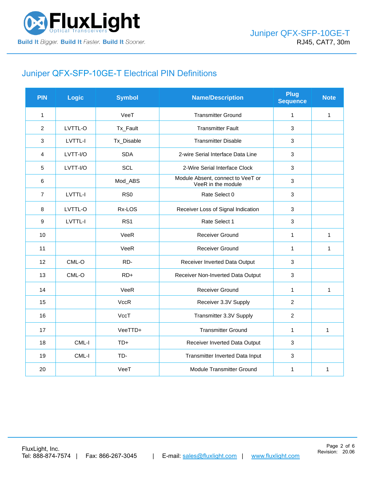

# Juniper [QFX-SFP-10GE-T](https://www.fluxlight.com/QFX-SFP-10ge-t/) Electrical PIN Definitions

| <b>PIN</b>       | Logic    | <b>Symbol</b>   | <b>Name/Description</b>                                 | <b>Plug</b><br><b>Sequence</b> | <b>Note</b>  |
|------------------|----------|-----------------|---------------------------------------------------------|--------------------------------|--------------|
| $\mathbf{1}$     |          | VeeT            | <b>Transmitter Ground</b>                               | $\mathbf{1}$                   | 1            |
| 2                | LVTTL-O  | Tx_Fault        | <b>Transmitter Fault</b>                                | 3                              |              |
| 3                | LVTTL-I  | Tx_Disable      | <b>Transmitter Disable</b>                              | 3                              |              |
| $\overline{4}$   | LVTT-I/O | <b>SDA</b>      | 2-wire Serial Interface Data Line                       | 3                              |              |
| 5                | LVTT-I/O | SCL             | 2-Wire Serial Interface Clock                           | 3                              |              |
| 6                |          | Mod_ABS         | Module Absent, connect to VeeT or<br>VeeR in the module | 3                              |              |
| $\overline{7}$   | LVTTL-I  | RS <sub>0</sub> | Rate Select 0                                           | 3                              |              |
| $\,8\,$          | LVTTL-O  | Rx-LOS          | Receiver Loss of Signal Indication                      | 3                              |              |
| $\boldsymbol{9}$ | LVTTL-I  | RS1             | Rate Select 1                                           | 3                              |              |
| 10               |          | VeeR            | <b>Receiver Ground</b>                                  | $\mathbf 1$                    | 1            |
| 11               |          | VeeR            | <b>Receiver Ground</b>                                  | $\mathbf{1}$                   | 1            |
| 12               | CML-O    | RD-             | Receiver Inverted Data Output                           | 3                              |              |
| 13               | CML-O    | $RD+$           | Receiver Non-Inverted Data Output                       | 3                              |              |
| 14               |          | VeeR            | <b>Receiver Ground</b>                                  | $\mathbf{1}$                   | 1            |
| 15               |          | <b>VccR</b>     | Receiver 3.3V Supply                                    | $\overline{2}$                 |              |
| 16               |          | VccT            | Transmitter 3.3V Supply                                 | $\overline{2}$                 |              |
| 17               |          | VeeTTD+         | <b>Transmitter Ground</b>                               | $\mathbf{1}$                   | $\mathbf{1}$ |
| 18               | CML-I    | $TD+$           | Receiver Inverted Data Output                           | 3                              |              |
| 19               | CML-I    | TD-             | Transmitter Inverted Data Input                         | 3                              |              |
| 20               |          | VeeT            | Module Transmitter Ground                               | 1                              | 1            |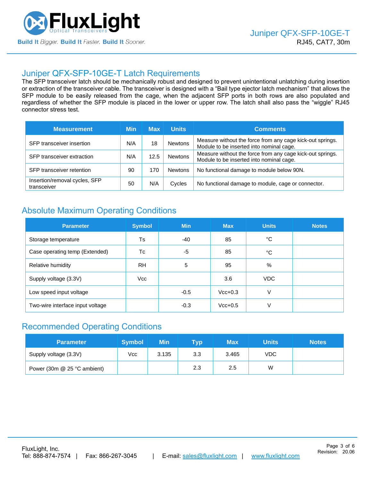

### Juniper [QFX-SFP-10GE-T](https://www.fluxlight.com/QFX-SFP-10ge-t/) Latch Requirements

The SFP transceiver latch should be mechanically robust and designed to prevent unintentional unlatching during insertion or extraction of the transceiver cable. The transceiver is designed with a "Bail type ejector latch mechanism" that allows the SFP module to be easily released from the cage, when the adjacent SFP ports in both rows are also populated and regardless of whether the SFP module is placed in the lower or upper row. The latch shall also pass the "wiggle" RJ45 connector stress test.

| <b>Measurement</b>                           | Min | <b>Max</b> | <b>Units</b>   | <b>Comments</b>                                                                                       |  |  |
|----------------------------------------------|-----|------------|----------------|-------------------------------------------------------------------------------------------------------|--|--|
| SFP transceiver insertion                    | N/A | 18         | <b>Newtons</b> | Measure without the force from any cage kick-out springs.<br>Module to be inserted into nominal cage. |  |  |
| SFP transceiver extraction                   | N/A | 12.5       | <b>Newtons</b> | Measure without the force from any cage kick-out springs.<br>Module to be inserted into nominal cage. |  |  |
| SFP transceiver retention                    | 90  | 170        | <b>Newtons</b> | No functional damage to module below 90N.                                                             |  |  |
| Insertion/removal cycles, SFP<br>transceiver | 50  | N/A        | Cycles         | No functional damage to module, cage or connector.                                                    |  |  |

## Absolute Maximum Operating Conditions

| <b>Parameter</b>                 | <b>Symbol</b> | <b>Min</b> | <b>Max</b> | <b>Units</b> | <b>Notes</b> |
|----------------------------------|---------------|------------|------------|--------------|--------------|
| Storage temperature              | Ts            | -40        | 85         | °C           |              |
| Case operating temp (Extended)   | Tc            | -5         | 85         | °C           |              |
| Relative humidity                | <b>RH</b>     | 5          | 95         | %            |              |
| Supply voltage (3.3V)            | Vcc           |            | 3.6        | <b>VDC</b>   |              |
| Low speed input voltage          |               | $-0.5$     | $Vcc+0.3$  | V            |              |
| Two-wire interface input voltage |               | $-0.3$     | $Vcc+0.5$  | V            |              |

## Recommended Operating Conditions

| <b>Parameter</b>            | <b>Symbol</b> | Min   | Tvp | Max   | Units | <b>Notes</b> |
|-----------------------------|---------------|-------|-----|-------|-------|--------------|
| Supply voltage (3.3V)       | Vcc           | 3.135 | 3.3 | 3.465 | VDC   |              |
| Power (30m @ 25 °C ambient) |               |       | 2.3 | 2.5   | W     |              |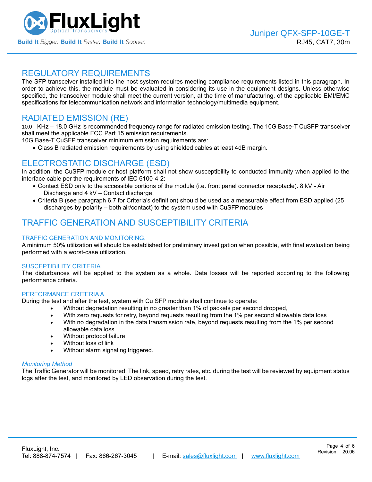

### REGULATORY REQUIREMENTS

The SFP transceiver installed into the host system requires meeting compliance requirements listed in this paragraph. In order to achieve this, the module must be evaluated in considering its use in the equipment designs. Unless otherwise specified, the transceiver module shall meet the current version, at the time of manufacturing, of the applicable EMI/EMC specifications for telecommunication network and information technology/multimedia equipment.

## RADIATED EMISSION (RE)

10.0 KHz – 18.0 GHz is recommended frequency range for radiated emission testing. The 10G Base-T CuSFP transceiver shall meet the applicable FCC Part 15 emission requirements.

10G Base-T CuSFP transceiver minimum emission requirements are:

• Class B radiated emission requirements by using shielded cables at least 4dB margin.

## ELECTROSTATIC DISCHARGE (ESD)

In addition, the CuSFP module or host platform shall not show susceptibility to conducted immunity when applied to the interface cable per the requirements of IEC 6100-4-2:

- Contact ESD only to the accessible portions of the module (i.e. front panel connector receptacle). 8 kV Air Discharge and 4 kV – Contact discharge.
- Criteria B (see paragraph 6.7 for Criteria's definition) should be used as a measurable effect from ESD applied (25 discharges by polarity – both air/contact) to the system used with CuSFP modules

## TRAFFIC GENERATION AND SUSCEPTIBILITY CRITERIA

### TRAFFIC GENERATION AND MONITORING.

A minimum 50% utilization will should be established for preliminary investigation when possible, with final evaluation being performed with a worst-case utilization.

#### SUSCEPTIBILITY CRITERIA

The disturbances will be applied to the system as a whole. Data losses will be reported according to the following performance criteria.

#### PERFORMANCE CRITERIA A

During the test and after the test, system with Cu SFP module shall continue to operate:

- Without degradation resulting in no greater than 1% of packets per second dropped,
- With zero requests for retry, beyond requests resulting from the 1% per second allowable data loss
- With no degradation in the data transmission rate, beyond requests resulting from the 1% per second allowable data loss
- Without protocol failure
- Without loss of link
- Without alarm signaling triggered.

#### *Monitoring Method*

The Traffic Generator will be monitored. The link, speed, retry rates, etc. during the test will be reviewed by equipment status logs after the test, and monitored by LED observation during the test.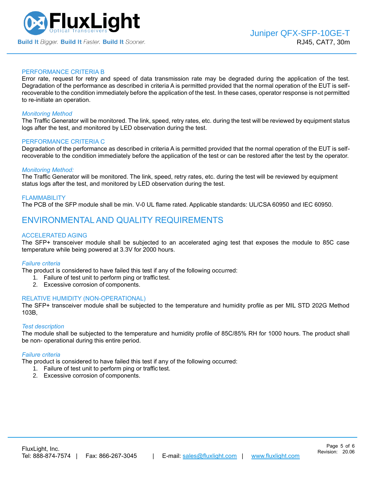

#### PERFORMANCE CRITERIA B

Error rate, request for retry and speed of data transmission rate may be degraded during the application of the test. Degradation of the performance as described in criteria A is permitted provided that the normal operation of the EUT is selfrecoverable to the condition immediately before the application of the test. In these cases, operator response is not permitted to re-initiate an operation.

#### *Monitoring Method*

The Traffic Generator will be monitored. The link, speed, retry rates, etc. during the test will be reviewed by equipment status logs after the test, and monitored by LED observation during the test.

#### PERFORMANCE CRITERIA C

Degradation of the performance as described in criteria A is permitted provided that the normal operation of the EUT is selfrecoverable to the condition immediately before the application of the test or can be restored after the test by the operator.

#### *Monitoring Method:*

The Traffic Generator will be monitored. The link, speed, retry rates, etc. during the test will be reviewed by equipment status logs after the test, and monitored by LED observation during the test.

#### FLAMMABILITY

The PCB of the SFP module shall be min. V-0 UL flame rated. Applicable standards: UL/CSA 60950 and IEC 60950.

### ENVIRONMENTAL AND QUALITY REQUIREMENTS

#### ACCELERATED AGING

The SFP+ transceiver module shall be subjected to an accelerated aging test that exposes the module to 85C case temperature while being powered at 3.3V for 2000 hours.

#### *Failure criteria*

The product is considered to have failed this test if any of the following occurred:

- 1. Failure of test unit to perform ping or traffic test.
- 2. Excessive corrosion of components.

#### RELATIVE HUMIDITY (NON-OPERATIONAL)

The SFP+ transceiver module shall be subjected to the temperature and humidity profile as per MIL STD 202G Method 103B,

#### *Test description*

The module shall be subjected to the temperature and humidity profile of 85C/85% RH for 1000 hours. The product shall be non- operational during this entire period.

#### *Failure criteria*

The product is considered to have failed this test if any of the following occurred:

- 1. Failure of test unit to perform ping or traffic test.
- 2. Excessive corrosion of components.